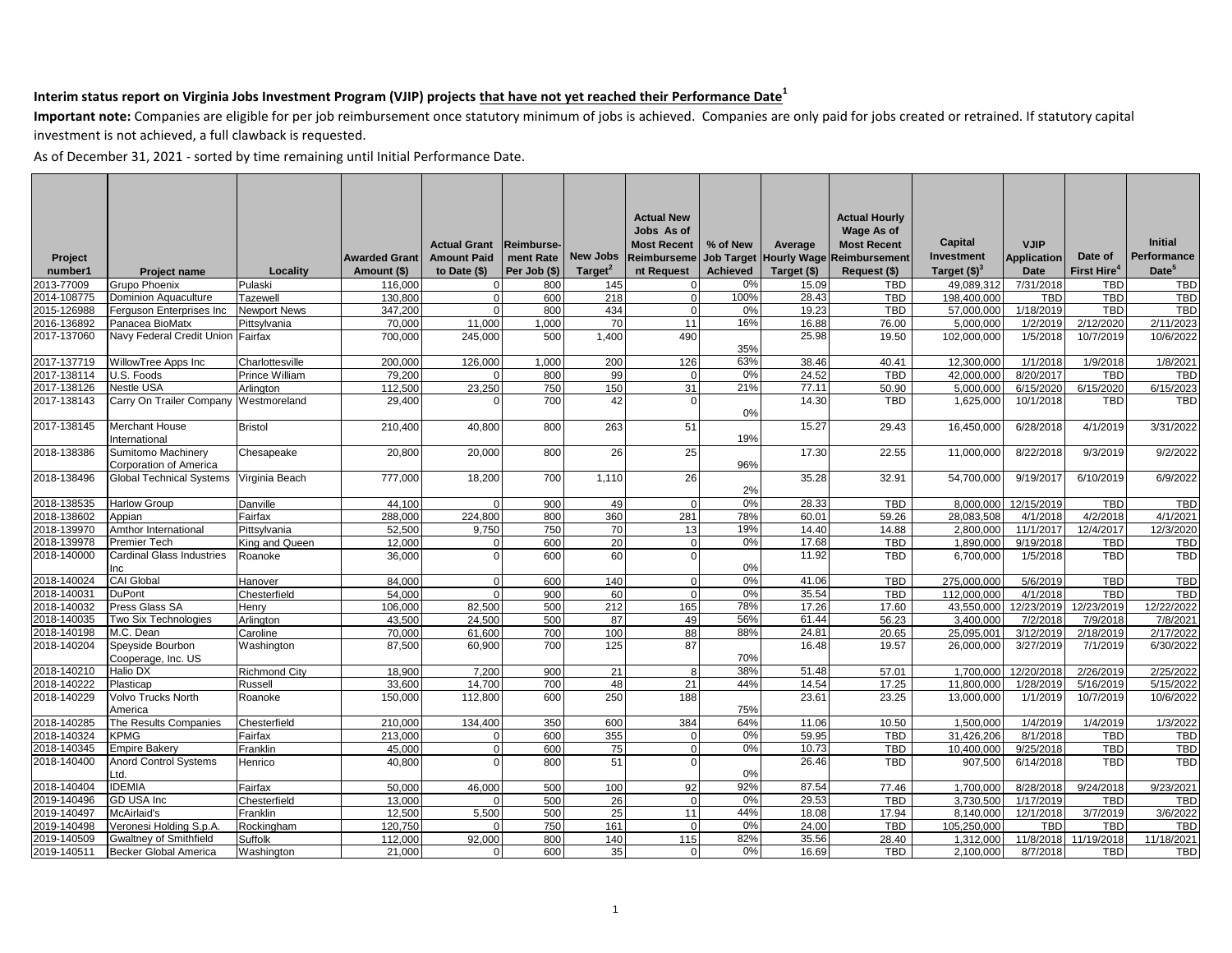**Important note:** Companies are eligible for per job reimbursement once statutory minimum of jobs is achieved. Companies are only paid for jobs created or retrained. If statutory capital investment is not achieved, a full clawback is requested.

|             |                                              |                      |                      |                     |                   |                     | <b>Actual New</b>  |                 |                        | <b>Actual Hourly</b> |                |                    |                         |                        |
|-------------|----------------------------------------------|----------------------|----------------------|---------------------|-------------------|---------------------|--------------------|-----------------|------------------------|----------------------|----------------|--------------------|-------------------------|------------------------|
|             |                                              |                      |                      |                     |                   |                     | Jobs As of         |                 |                        | Wage As of           |                |                    |                         | <b>Initial</b>         |
|             |                                              |                      |                      | <b>Actual Grant</b> | <b>Reimburse-</b> |                     | <b>Most Recent</b> | % of New        | Average                | <b>Most Recent</b>   | Capital        | <b>VJIP</b>        |                         |                        |
| Project     |                                              |                      | <b>Awarded Grant</b> | <b>Amount Paid</b>  | ment Rate         | <b>New Jobs</b>     | <b>Reimburseme</b> |                 | Job Target Hourly Wage | Reimbursement        | Investment     | <b>Application</b> | Date of                 | Performance            |
| number1     | <b>Project name</b>                          | Locality             | Amount (\$)          | to Date (\$)        | Per Job (\$)      | Target <sup>2</sup> | nt Request         | <b>Achieved</b> | Target (\$)            | Request (\$)         | Target $(3)^3$ | Date               | First Hire <sup>4</sup> | Date <sup>5</sup>      |
| 2013-77009  | Grupo Phoenix                                | Pulaski              | 116,000              |                     | 800               | 145                 | $\overline{0}$     | 0%              | 15.09                  | <b>TBD</b>           | 49,089,312     | 7/31/2018          | <b>TBD</b>              | TBD                    |
| 2014-108775 | <b>Dominion Aquaculture</b>                  | Tazewell             | 130,800              |                     | 600               | 218                 | $\overline{0}$     | 100%            | 28.43                  | <b>TBD</b>           | 198,400,000    | <b>TBD</b>         | <b>TBD</b>              | <b>TBD</b>             |
| 2015-126988 | Ferguson Enterprises Inc                     | <b>Newport News</b>  | 347,200              |                     | 800               | 434                 | $\overline{0}$     | 0%              | 19.23                  | <b>TBD</b>           | 57,000,000     | 1/18/2019          | <b>TBD</b>              | TBD                    |
| 2016-136892 | Panacea BioMatx                              | Pittsylvania         | 70.000               | 11,000              | 1,000             | 70                  | 11                 | 16%             | 16.88                  | 76.00                | 5,000,000      | 1/2/2019           | 2/12/2020               | 2/11/2023              |
| 2017-137060 | Navy Federal Credit Union                    | Fairfax              | 700,000              | 245.000             | 500               | 1.400               | 490                | 35%             | 25.98                  | 19.50                | 102,000,000    | 1/5/2018           | 10/7/2019               | 10/6/2022              |
| 2017-137719 | WillowTree Apps Inc                          | Charlottesville      | 200.000              | 126,000             | 1.000             | 200                 | 126                | 63%             | 38.46                  | 40.41                | 12.300.000     | 1/1/2018           | 1/9/2018                | 1/8/2021               |
| 2017-138114 | U.S. Foods                                   | Prince William       | 79,200               |                     | 800               | 99                  | $\Omega$           | 0%              | 24.52                  | <b>TBD</b>           | 42,000,000     | 8/20/2017          | <b>TBD</b>              | <b>TBD</b>             |
| 2017-138126 | <b>Nestle USA</b>                            | Arlington            | 112,500              | 23,250              | 750               | 150                 | 31                 | 21%             | 77.11                  | 50.90                | 5,000,000      | 6/15/2020          | 6/15/2020               | 6/15/2023              |
| 2017-138143 | Carry On Trailer Company                     | Westmoreland         | 29,400               |                     | 700               | 42                  | $\mathbf{0}$       |                 | 14.30                  | <b>TBD</b>           | 1,625,000      | 10/1/2018          | <b>TBD</b>              | <b>TBD</b>             |
|             |                                              |                      |                      |                     |                   |                     |                    | 0%              |                        |                      |                |                    |                         |                        |
| 2017-138145 | <b>Merchant House</b><br>International       | <b>Bristol</b>       | 210.400              | 40.800              | 800               | 263                 | 51                 | 19%             | 15.27                  | 29.43                | 16,450,000     | 6/28/2018          | 4/1/2019                | 3/31/2022              |
| 2018-138386 | Sumitomo Machinery<br>Corporation of America | Chesapeake           | 20,800               | 20,000              | 800               | 26                  | 25                 | 96%             | 17.30                  | 22.55                | 11,000,000     | 8/22/2018          | 9/3/2019                | 9/2/2022               |
| 2018-138496 | <b>Global Technical Systems</b>              | Virginia Beach       | 777,000              | 18,200              | 700               | 1,110               | <b>26</b>          | 2%              | 35.28                  | 32.91                | 54,700,000     | 9/19/201           | 6/10/2019               | 6/9/2022               |
| 2018-138535 | <b>Harlow Group</b>                          | Danville             | 44.100               |                     | 900               | 49                  | $\Omega$           | 0%              | 28.33                  | <b>TBD</b>           | 8.000.000      | 12/15/2019         | <b>TBD</b>              | <b>TBD</b>             |
| 2018-138602 | Appian                                       | Fairfax              | 288.000              | 224.800             | 800               | 360                 | 281                | 78%             | 60.01                  | 59.26                | 28.083.508     | 4/1/2018           | 4/2/2018                | 4/1/2021               |
| 2018-139970 | Amthor International                         | Pittsylvania         | 52,500               | 9,750               | 750               | 70                  | 13                 | 19%             | 14.40                  | 14.88                | 2,800,000      | 11/1/2017          | 12/4/2017               | 12/3/2020              |
| 2018-139978 | <b>Premier Tech</b>                          | King and Queen       | 12.000               |                     | 600               | 20                  | $\Omega$           | 0%              | 17.68                  | <b>TBD</b>           | 1.890.000      | 9/19/2018          | <b>TBD</b>              | <b>TBD</b>             |
| 2018-140000 | <b>Cardinal Glass Industries</b><br>Inc      | Roanoke              | 36,000               |                     | 600               | 60                  | $\overline{0}$     | 0%              | 11.92                  | TBD                  | 6,700,000      | 1/5/2018           | <b>TBD</b>              | <b>TBD</b>             |
| 2018-140024 | <b>CAI Global</b>                            | Hanover              | 84,000               | $\Omega$            | 600               | 140                 | $\overline{0}$     | 0%              | 41.06                  | TBD                  | 275,000,000    | 5/6/2019           | <b>TBD</b>              | <b>TBD</b>             |
| 2018-140031 | <b>DuPont</b>                                | Chesterfield         | 54.000               |                     | 900               | 60                  | $\Omega$           | 0%              | 35.54                  | TBD                  | 112.000.000    | 4/1/2018           | TBD                     | <b>TBD</b>             |
| 2018-140032 | Press Glass SA                               | Henry                | 106,000              | 82,500              | 500               | 212                 | 165                | 78%             | 17.26                  | 17.60                | 43,550,000     | 12/23/2019         | 12/23/2019              | 12/22/2022             |
| 2018-140035 | Two Six Technologies                         | Arlington            | 43,500               | 24,500              | 500               | 87                  | 49                 | 56%             | 61.44                  | 56.23                | 3.400.000      | 7/2/2018           | 7/9/2018                | 7/8/2021               |
| 2018-140198 | M.C. Dean                                    | Caroline             | 70.000               | 61.600              | 700               | 100                 | 88                 | 88%             | 24.81                  | 20.65                | 25,095,001     | 3/12/2019          | 2/18/2019               | 2/17/2022              |
| 2018-140204 | Speyside Bourbon<br>Cooperage, Inc. US       | Washington           | 87,500               | 60,900              | 700               | 125                 | 87                 | 70%             | 16.48                  | 19.57                | 26,000,000     | 3/27/2019          | 7/1/2019                | 6/30/2022              |
| 2018-140210 | Halio DX                                     | <b>Richmond City</b> | 18,900               | 7.200               | 900               | 21                  | 8                  | 38%             | 51.48                  | 57.01                | 1.700.000      | 12/20/2018         | 2/26/2019               | 2/25/2022              |
| 2018-140222 | Plasticap                                    | Russell              | 33,600               | 14.700              | 700               | 48                  | 21                 | 44%             | 14.54                  | 17.25                | 11.800.000     | 1/28/2019          | 5/16/2019               | 5/15/2022              |
| 2018-140229 | Volvo Trucks North<br>America                | Roanoke              | 150,000              | 112,800             | 600               | 250                 | 188                | 75%             | 23.61                  | 23.25                | 13,000,000     | 1/1/2019           | 10/7/2019               | 10/6/2022              |
| 2018-140285 | The Results Companies                        | Chesterfield         | 210.000              | 134,400             |                   | 600                 | 384                | 64%             | 11.06                  | 10.50                | 1.500.000      | 1/4/2019           | 1/4/2019                |                        |
| 2018-140324 | <b>KPMG</b>                                  | Fairfax              | 213,000              |                     | 350<br>600        | 355                 | $\mathbf{0}$       | 0%              | 59.95                  | <b>TBD</b>           | 31,426,206     | 8/1/2018           | <b>TBD</b>              | 1/3/2022<br><b>TBD</b> |
| 2018-140345 |                                              | Franklin             | 45.000               |                     | 600               | 75                  | $\Omega$           | 0%              | 10.73                  | <b>TBD</b>           |                | 9/25/2018          | <b>TBD</b>              | <b>TBD</b>             |
|             | <b>Empire Bakery</b>                         |                      |                      |                     |                   | 51                  | $\Omega$           |                 |                        | TBD                  | 10,400,000     |                    | TBD                     | TBD                    |
| 2018-140400 | <b>Anord Control Systems</b><br>Ltd.         | Henrico              | 40,800               |                     | 800               |                     |                    | 0%              | 26.46                  |                      | 907,500        | 6/14/2018          |                         |                        |
| 2018-140404 | <b>IDEMIA</b>                                | Fairfax              | 50,000               | 46,000              | 500               | 100                 | 92                 | 92%             | 87.54                  | 77.46                | 1,700,000      | 8/28/2018          | 9/24/2018               | 9/23/2021              |
| 2019-140496 | GD USA Inc                                   | Chesterfield         | 13,000               |                     | 500               | 26                  | $\Omega$           | 0%              | 29.53                  | <b>TBD</b>           | 3,730,500      | 1/17/2019          | <b>TBD</b>              | <b>TBD</b>             |
| 2019-140497 | McAirlaid's                                  | Franklin             | 12.500               | 5.500               | 500               | 25                  | 11                 | 44%             | 18.08                  | 17.94                | 8.140.000      | 12/1/2018          | 3/7/2019                | 3/6/2022               |
| 2019-140498 | Veronesi Holding S.p.A.                      | Rockingham           | 120,750              |                     | 750               | 161                 | $\Omega$           | 0%              | 24.00                  | <b>TBD</b>           | 105.250.000    | <b>TBD</b>         | TBD                     | <b>TBD</b>             |
| 2019-140509 | <b>Gwaltney of Smithfield</b>                | Suffolk              | 112.000              | 92.000              | 800               | 140                 | 115                | 82%             | 35.56                  | 28.40                | 1.312.000      | 11/8/2018          | 11/19/2018              | 11/18/2021             |
| 2019-140511 | <b>Becker Global America</b>                 | Washington           | 21,000               | $\Omega$            | 600               | 35                  | $\overline{0}$     | 0%              | 16.69                  | <b>TBD</b>           | 2,100,000      | 8/7/2018           | <b>TBD</b>              | <b>TBD</b>             |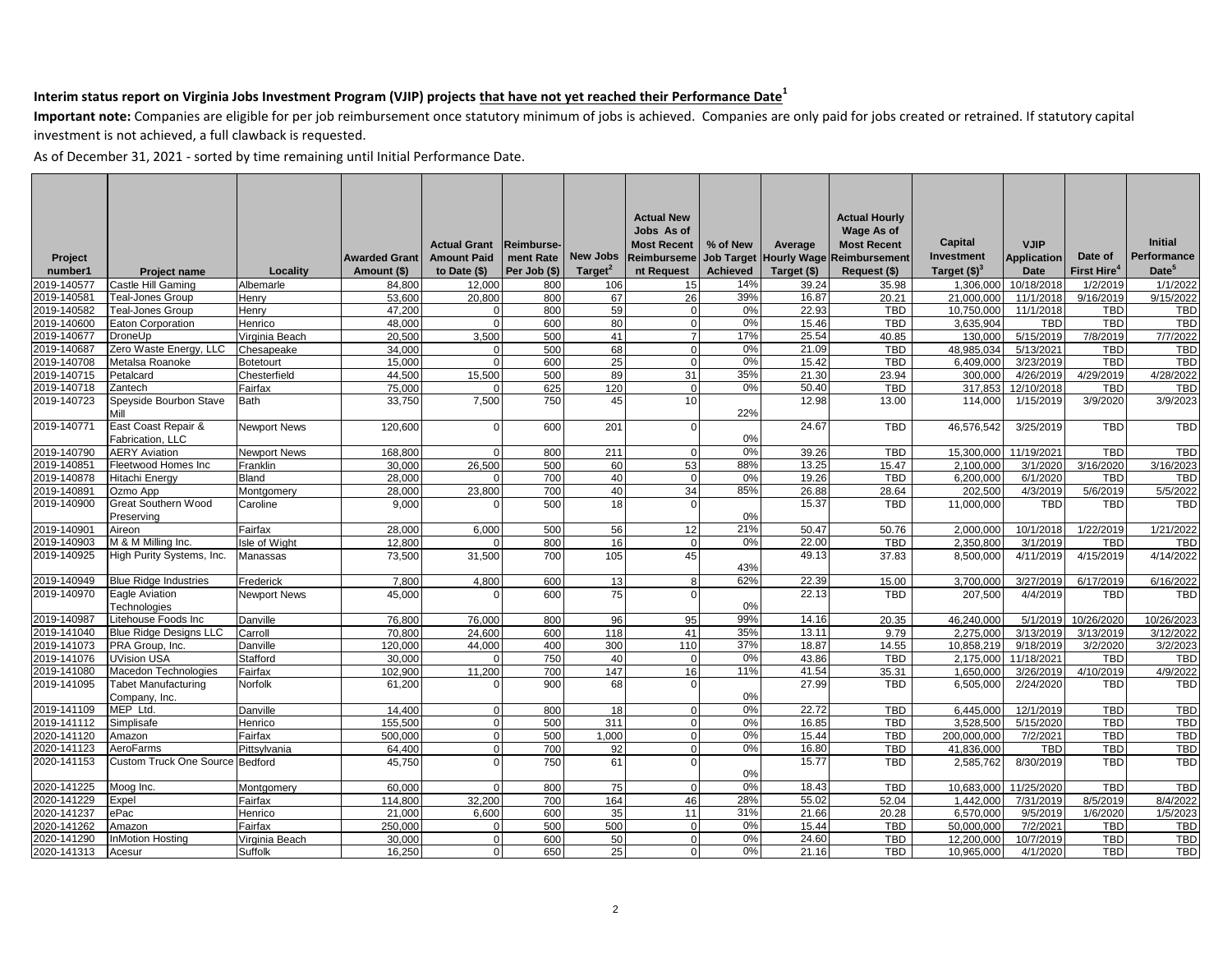**Important note:** Companies are eligible for per job reimbursement once statutory minimum of jobs is achieved. Companies are only paid for jobs created or retrained. If statutory capital investment is not achieved, a full clawback is requested.

|             |                                         |                     |                      |                     |              |                     | <b>Actual New</b>  |                 |                               | <b>Actual Hourly</b> |                       |                    |                         |                   |
|-------------|-----------------------------------------|---------------------|----------------------|---------------------|--------------|---------------------|--------------------|-----------------|-------------------------------|----------------------|-----------------------|--------------------|-------------------------|-------------------|
|             |                                         |                     |                      |                     |              |                     | Jobs As of         |                 |                               | Wage As of           |                       |                    |                         | <b>Initial</b>    |
|             |                                         |                     |                      | <b>Actual Grant</b> | Reimburse-   |                     | <b>Most Recent</b> | % of New        | Average                       | <b>Most Recent</b>   | Capital<br>Investment | <b>VJIP</b>        |                         | Performance       |
| Project     |                                         |                     | <b>Awarded Grant</b> | <b>Amount Paid</b>  | ment Rate    | <b>New Jobs</b>     | <b>Reimburseme</b> |                 | <b>Job Target Hourly Wage</b> | <b>Reimbursement</b> |                       | <b>Application</b> | Date of                 | Date <sup>5</sup> |
| number1     | <b>Project name</b>                     | Locality            | Amount (\$)          | to Date (\$)        | Per Job (\$) | Target <sup>2</sup> | nt Request         | <b>Achieved</b> | Target (\$)                   | Request (\$)         | Target $(§)3$         | Date               | First Hire <sup>4</sup> |                   |
| 2019-140577 | Castle Hill Gaming                      | Albemarle           | 84,800               | 12,000              | 800          | 106                 | 15                 | 14%             | 39.24                         | 35.98                | 1,306,000             | 10/18/2018         | 1/2/2019                | 1/1/2022          |
| 2019-140581 | Teal-Jones Group                        | Henry               | 53,600               | 20,800              | 800          | 67                  | 26                 | 39%             | 16.87                         | 20.21                | 21,000,000            | 11/1/2018          | 9/16/2019               | 9/15/2022         |
| 2019-140582 | Teal-Jones Group                        | Henry               | 47,200               |                     | 800          | 59                  | $\overline{0}$     | 0%              | 22.93                         | <b>TBD</b>           | 10,750,000            | 11/1/2018          | TBD                     | <b>TBD</b>        |
| 2019-140600 | Eaton Corporation                       | Henrico             | 48.000               |                     | 600          | 80                  | $\Omega$           | 0%              | 15.46                         | <b>TBD</b>           | 3.635.904             | <b>TBD</b>         | <b>TBD</b>              | <b>TBD</b>        |
| 2019-140677 | DroneUp                                 | Virginia Beach      | 20.500               | 3.500               | 500          | 41                  | $\overline{7}$     | 17%             | 25.54                         | 40.85                | 130,000               | 5/15/2019          | 7/8/2019                | 7/7/2022          |
| 2019-140687 | Zero Waste Energy, LLC                  | Chesapeake          | 34,000               |                     | 500          | 68                  | $\overline{0}$     | 0%              | 21.09                         | <b>TBD</b>           | 48.985.034            | 5/13/2021          | <b>TBD</b>              | <b>TBD</b>        |
| 2019-140708 | Metalsa Roanoke                         | <b>Botetourt</b>    | 15.000               |                     | 600          | 25                  | $\Omega$           | 0%              | 15.42                         | <b>TBD</b>           | 6.409.000             | 3/23/2019          | <b>TBD</b>              | <b>TBD</b>        |
| 2019-140715 | Petalcard                               | Chesterfield        | 44,500               | 15.500              | 500          | 89                  | 31                 | 35%             | 21.30                         | 23.94                | 300.000               | 4/26/2019          | 4/29/2019               | 4/28/2022         |
| 2019-140718 | Zantech                                 | Fairfax             | 75,000               |                     | 625          | 120                 | $\Omega$           | 0%              | 50.40                         | <b>TBD</b>           | 317,853               | 12/10/2018         | <b>TBD</b>              | <b>TBD</b>        |
| 2019-140723 | Speyside Bourbon Stave<br>Mill          | <b>Bath</b>         | 33,750               | 7,500               | 750          | 45                  | 10                 | 22%             | 12.98                         | 13.00                | 114,000               | 1/15/2019          | 3/9/2020                | 3/9/2023          |
| 2019-140771 | East Coast Repair &<br>Fabrication, LLC | <b>Newport News</b> | 120,600              |                     | 600          | 201                 | $\Omega$           | 0%              | 24.67                         | <b>TBD</b>           | 46,576,542            | 3/25/2019          | TBD                     | <b>TBD</b>        |
| 2019-140790 | <b>AERY Aviation</b>                    | <b>Newport News</b> | 168.800              |                     | 800          | 211                 | $\Omega$           | 0%              | 39.26                         | TBD                  | 15.300.000            | 11/19/2021         | <b>TBD</b>              | <b>TBD</b>        |
| 2019-140851 | Fleetwood Homes Inc                     | Franklin            | 30,000               | 26,500              | 500          | 60                  | 53                 | 88%             | 13.25                         | 15.47                | 2,100,000             | 3/1/2020           | 3/16/2020               | 3/16/2023         |
| 2019-140878 | <b>Hitachi Energy</b>                   | <b>Bland</b>        | 28.000               |                     | 700          | 40                  | $\Omega$           | 0%              | 19.26                         | <b>TBD</b>           | 6.200.000             | 6/1/2020           | <b>TBD</b>              | <b>TBD</b>        |
| 2019-140891 | Ozmo App                                | Montgomery          | 28,000               | 23,800              | 700          | 40                  | 34                 | 85%             | 26.88                         | 28.64                | 202,500               | 4/3/2019           | 5/6/2019                | 5/5/2022          |
| 2019-140900 | Great Southern Wood                     | Caroline            | 9,000                |                     | 500          | 18                  | $\Omega$           |                 | 15.37                         | TBD                  | 11,000,000            | <b>TBD</b>         | TBD                     | <b>TBD</b>        |
|             | Preserving                              |                     |                      |                     |              |                     |                    | 0%              |                               |                      |                       |                    |                         |                   |
| 2019-140901 | Aireon                                  | Fairfax             | 28,000               | 6.000               | 500          | 56                  | 12                 | 21%             | 50.47                         | 50.76                | 2,000,000             | 10/1/2018          | 1/22/2019               | 1/21/2022         |
| 2019-140903 | M & M Milling Inc.                      | sle of Wight        | 12.800               |                     | 800          | 16                  | $\Omega$           | 0%              | 22.00                         | TBD                  | 2,350,800             | 3/1/2019           | TBD                     | <b>TBD</b>        |
| 2019-140925 | High Purity Systems, Inc.               | Manassas            | 73,500               | 31,500              | 700          | 105                 | 45                 | 43%             | 49.13                         | 37.83                | 8,500,000             | 4/11/2019          | 4/15/2019               | 4/14/2022         |
| 2019-140949 | <b>Blue Ridge Industries</b>            | Frederick           | 7,800                | 4,800               | 600          | 13                  | 8                  | 62%             | 22.39                         | 15.00                | 3,700,000             | 3/27/2019          | 6/17/2019               | 6/16/2022         |
| 2019-140970 | Eagle Aviation<br>Technologies          | <b>Newport News</b> | 45.000               |                     | 600          | 75                  | $\Omega$           | 0%              | 22.13                         | TBD                  | 207,500               | 4/4/2019           | TBD                     | <b>TBD</b>        |
| 2019-140987 | Litehouse Foods Inc                     | Danville            | 76,800               | 76,000              | 800          | 96                  | 95                 | 99%             | 14.16                         | 20.35                | 46,240,000            | 5/1/2019           | 10/26/2020              | 10/26/2023        |
| 2019-141040 | <b>Blue Ridge Designs LLC</b>           | Carroll             | 70.800               | 24.600              | 600          | 118                 | 41                 | 35%             | 13.11                         | 9.79                 | 2.275.000             | 3/13/2019          | 3/13/2019               | 3/12/2022         |
| 2019-141073 | PRA Group, Inc.                         | Danville            | 120,000              | 44,000              | 400          | 300                 | 110                | 37%             | 18.87                         | 14.55                | 10,858,219            | 9/18/2019          | 3/2/2020                | 3/2/2023          |
| 2019-141076 | <b>UVision USA</b>                      | Stafford            | 30.000               |                     | 750          | 40                  | $\Omega$           | 0%              | 43.86                         | <b>TBD</b>           | 2.175.000             | 11/18/2021         | <b>TBD</b>              | <b>TBD</b>        |
| 2019-141080 | Macedon Technologies                    | Fairfax             | 102,900              | 11.200              | 700          | 147                 | 16                 | 11%             | 41.54                         | 35.31                | 1,650,000             | 3/26/2019          | 4/10/2019               | 4/9/2022          |
| 2019-141095 | <b>Tabet Manufacturing</b>              | Norfolk             | 61,200               |                     | 900          | 68                  | $\Omega$           |                 | 27.99                         | <b>TBD</b>           | 6,505,000             | 2/24/2020          | <b>TBD</b>              | <b>TBD</b>        |
|             | Company, Inc.                           |                     |                      |                     |              |                     |                    | 0%              |                               |                      |                       |                    |                         |                   |
| 2019-141109 | MEP Ltd.                                | Danville            | 14.400               |                     | 800          | 18                  | $\Omega$           | 0%              | 22.72                         | <b>TBD</b>           | 6.445.000             | 12/1/2019          | <b>TBD</b>              | <b>TBD</b>        |
| 2019-141112 | Simplisafe                              | Henrico             | 155.500              | $\Omega$            | 500          | 311                 | $\overline{0}$     | 0%              | 16.85                         | TBD                  | 3.528.500             | 5/15/2020          | <b>TBD</b>              | <b>TBD</b>        |
| 2020-141120 | Amazon                                  | Fairfax             | 500,000              | $\Omega$            | 500          | 1,000               | $\mathbf{0}$       | 0%              | 15.44                         | <b>TBD</b>           | 200,000,000           | 7/2/2021           | TBD                     | TBD               |
| 2020-141123 | AeroFarms                               | Pittsvlvania        | 64.400               | $\Omega$            | 700          | 92                  | $\Omega$           | 0%              | 16.80                         | <b>TBD</b>           | 41.836.000            | <b>TBD</b>         | <b>TBD</b>              | <b>TBD</b>        |
| 2020-141153 | <b>Custom Truck One Source</b>          | Bedford             | 45,750               |                     | 750          | 61                  | $\Omega$           |                 | 15.77                         | <b>TBD</b>           | 2,585,762             | 8/30/2019          | <b>TBD</b>              | <b>TBD</b>        |
|             |                                         |                     |                      |                     |              |                     |                    | 0%              |                               |                      |                       |                    |                         |                   |
| 2020-141225 | Moog Inc.                               | Montgomery          | 60,000               |                     | 800          | 75                  | $\mathbf{0}$       | 0%              | 18.43                         | <b>TBD</b>           | 10,683,000            | 11/25/2020         | <b>TBD</b>              | <b>TBD</b>        |
| 2020-141229 | Expel                                   | Fairfax             | 114,800              | 32,200              | 700          | 164                 | 46                 | 28%             | 55.02                         | 52.04                | 1,442,000             | 7/31/2019          | 8/5/2019                | 8/4/2022          |
| 2020-141237 | ePac                                    | Henrico             | 21.000               | 6.600               | 600          | 35                  | 11                 | 31%             | 21.66                         | 20.28                | 6.570.000             | 9/5/2019           | 1/6/2020                | 1/5/2023          |
| 2020-141262 | Amazon                                  | Fairfax             | 250.000              |                     | 500          | 500                 | $\Omega$           | 0%              | 15.44                         | <b>TBD</b>           | 50,000,000            | 7/2/2021           | <b>TBD</b>              | <b>TBD</b>        |
| 2020-141290 | InMotion Hostina                        | Virginia Beach      | 30.000               |                     | 600          | 50                  | $\Omega$           | 0%              | 24.60                         | <b>TBD</b>           | 12.200.000            | 10/7/2019          | <b>TBD</b>              | <b>TBD</b>        |
| 2020-141313 | Acesur                                  | Suffolk             | 16,250               | $\Omega$            | 650          | 25                  | $\Omega$           | 0%              | 21.16                         | TBD                  | 10,965,000            | 4/1/2020           | TBD                     | <b>TBD</b>        |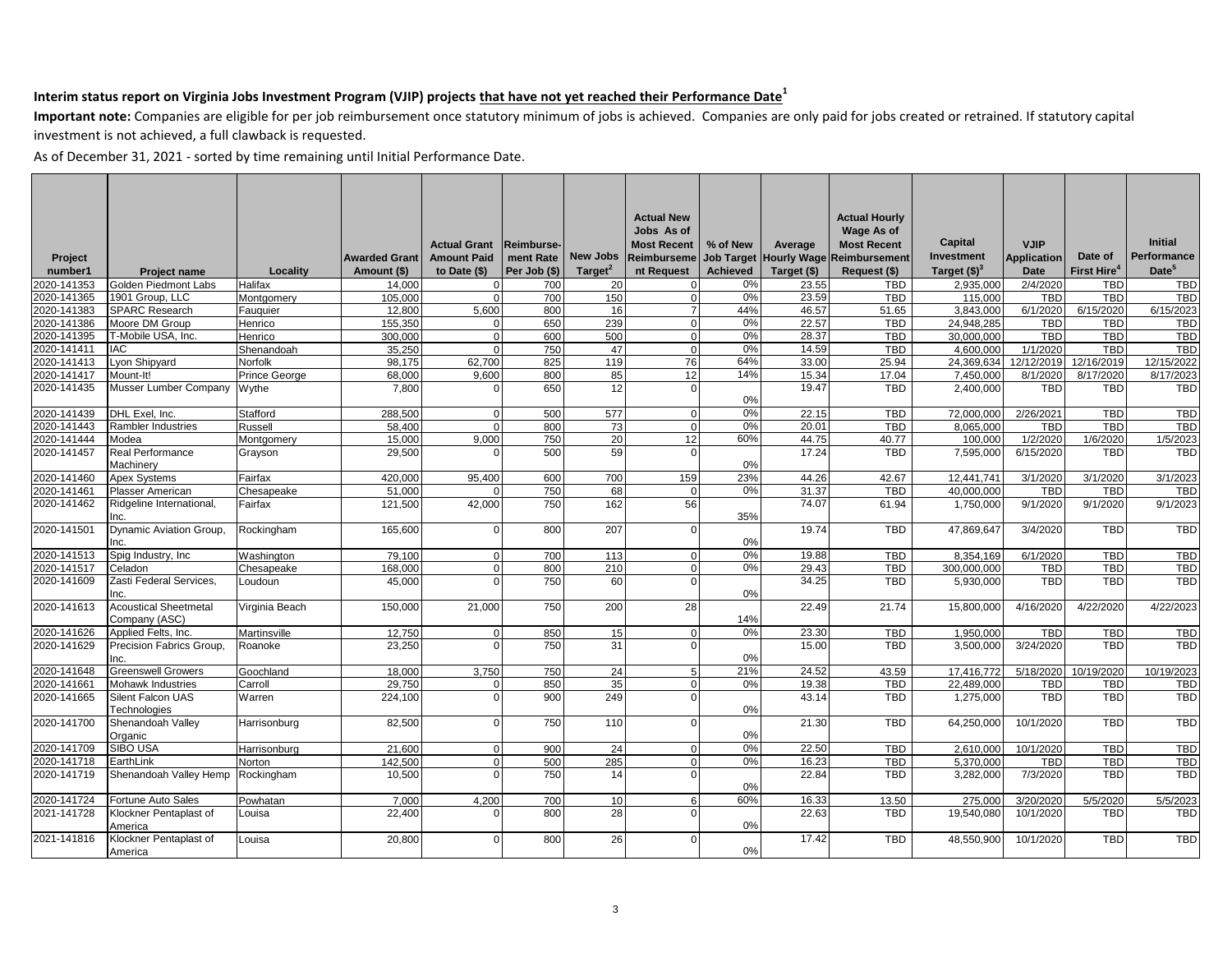**Important note:** Companies are eligible for per job reimbursement once statutory minimum of jobs is achieved. Companies are only paid for jobs created or retrained. If statutory capital investment is not achieved, a full clawback is requested.

|                    |                                               |                |                                     |                                      |                           |                     | <b>Actual New</b><br>Jobs As of  |                 |                                       | <b>Actual Hourly</b><br><b>Wage As of</b> |                       |                            |                         |                               |
|--------------------|-----------------------------------------------|----------------|-------------------------------------|--------------------------------------|---------------------------|---------------------|----------------------------------|-----------------|---------------------------------------|-------------------------------------------|-----------------------|----------------------------|-------------------------|-------------------------------|
|                    |                                               |                |                                     | <b>Actual Grant</b>                  | <b>Reimburse-</b>         | <b>New Jobs</b>     | <b>Most Recent</b>               | % of New        | Average                               | <b>Most Recent</b>                        | Capital<br>Investment | <b>VJIP</b>                | Date of                 | <b>Initial</b><br>Performance |
| Project<br>number1 |                                               | Locality       | <b>Awarded Grant</b><br>Amount (\$) | <b>Amount Paid</b><br>to Date $(\$)$ | ment Rate<br>Per Job (\$) | Target <sup>2</sup> | <b>Reimburseme</b><br>nt Request | <b>Achieved</b> | Job Target Hourly Wage<br>Target (\$) | Reimbursement<br>Request (\$)             | Target $(§)3$         | <b>Application</b><br>Date | First Hire <sup>4</sup> | Date <sup>5</sup>             |
| 2020-141353        | Project name<br>Golden Piedmont Labs          | Halifax        | 14,000                              | $\Omega$                             | 700                       | 20                  | $\Omega$                         | 0%              | 23.55                                 | <b>TBD</b>                                | 2,935,000             | 2/4/2020                   | <b>TBD</b>              | <b>TBD</b>                    |
| 2020-141365        | 1901 Group, LLC                               | Montgomery     | 105,000                             | $\Omega$                             | 700                       | 150                 | $\overline{0}$                   | 0%              | 23.59                                 | <b>TBD</b>                                | 115,000               | TBD                        | TBD                     | <b>TBD</b>                    |
| 2020-141383        | <b>SPARC Research</b>                         | Fauguier       | 12.800                              | 5,600                                | 800                       | 16                  | $\overline{7}$                   | 44%             | 46.57                                 | 51.65                                     | 3,843,000             | 6/1/2020                   | 6/15/2020               | 6/15/2023                     |
| 2020-141386        | Moore DM Group                                | Henrico        | 155.350                             |                                      | 650                       | 239                 | $\Omega$                         | 0%              | 22.57                                 | <b>TBD</b>                                | 24.948.285            | <b>TBD</b>                 | <b>TBD</b>              | <b>TBD</b>                    |
| 2020-141395        | T-Mobile USA, Inc.                            | Henrico        | 300.000                             | $\Omega$                             | 600                       | 500                 | $\overline{0}$                   | 0%              | 28.37                                 | <b>TBD</b>                                | 30,000,000            | <b>TBD</b>                 | <b>TBD</b>              | <b>TBD</b>                    |
| 2020-141411        | <b>IAC</b>                                    | Shenandoah     | 35.250                              | $\Omega$                             | 750                       | 47                  | $\Omega$                         | 0%              | 14.59                                 | <b>TBD</b>                                | 4.600.000             | 1/1/2020                   | <b>TBD</b>              | <b>TBD</b>                    |
| 2020-141413        | Lyon Shipyard                                 | Norfolk        | 98.175                              | 62.700                               | 825                       | 119                 | 76                               | 64%             | 33.00                                 | 25.94                                     | 24,369,634            | 12/12/2019                 | 12/16/2019              | 12/15/2022                    |
| 2020-141417        | Mount-It!                                     | Prince George  | 68.000                              | 9.600                                | 800                       | 85                  | 12                               | 14%             | 15.34                                 | 17.04                                     | 7.450.000             | 8/1/2020                   | 8/17/2020               | 8/17/2023                     |
| 2020-141435        | Musser Lumber Company                         | Wythe          | 7,800                               |                                      | 650                       | 12                  | $\Omega$                         | 0%              | 19.47                                 | <b>TBD</b>                                | 2,400,000             | <b>TBD</b>                 | <b>TBD</b>              | <b>TBD</b>                    |
| 2020-141439        | DHL Exel. Inc.                                | Stafford       | 288.500                             | $\Omega$                             | 500                       | 577                 | $\Omega$                         | 0%              | 22.15                                 | <b>TBD</b>                                | 72.000.000            | 2/26/2021                  | <b>TBD</b>              | <b>TBD</b>                    |
| 2020-141443        | Rambler Industries                            | Russell        | 58,400                              | $\Omega$                             | 800                       | 73                  | $\overline{0}$                   | 0%              | 20.01                                 | <b>TBD</b>                                | 8,065,000             | <b>TBD</b>                 | <b>TBD</b>              | <b>TBD</b>                    |
| 2020-141444        | Modea                                         | Montgomery     | 15,000                              | 9,000                                | 750                       | 20                  | 12                               | 60%             | 44.75                                 | 40.77                                     | 100,000               | 1/2/2020                   | 1/6/2020                | 1/5/2023                      |
| 2020-141457        | <b>Real Performance</b><br>Machinery          | Grayson        | 29.500                              | $\Omega$                             | 500                       | 59                  | $\Omega$                         | 0%              | 17.24                                 | <b>TBD</b>                                | 7.595.000             | 6/15/2020                  | TBD                     | <b>TBD</b>                    |
| 2020-141460        | <b>Apex Systems</b>                           | Fairfax        | 420.000                             | 95,400                               | 600                       | 700                 | 159                              | 23%             | 44.26                                 | 42.67                                     | 12.441.741            | 3/1/2020                   | 3/1/2020                | 3/1/2023                      |
| 2020-141461        | Plasser American                              | Chesapeake     | 51,000                              |                                      | 750                       | 68                  | $\mathbf 0$                      | 0%              | 31.37                                 | <b>TBD</b>                                | 40,000,000            | TBD                        | <b>TBD</b>              | <b>TBD</b>                    |
| 2020-141462        | Ridgeline International,<br>Inc.              | Fairfax        | 121,500                             | 42,000                               | 750                       | 162                 | 56                               | 35%             | 74.07                                 | 61.94                                     | 1,750,000             | 9/1/2020                   | 9/1/2020                | 9/1/2023                      |
| 2020-141501        | Dynamic Aviation Group,<br>Inc.               | Rockingham     | 165,600                             | $\Omega$                             | 800                       | 207                 | $\Omega$                         | 0%              | 19.74                                 | <b>TBD</b>                                | 47,869,647            | 3/4/2020                   | <b>TBD</b>              | <b>TBD</b>                    |
| 2020-141513        | Spig Industry, Inc.                           | Washington     | 79,100                              |                                      | 700                       | 113                 | $\Omega$                         | 0%              | 19.88                                 | <b>TBD</b>                                | 8,354,169             | 6/1/2020                   | <b>TBD</b>              | <b>TBD</b>                    |
| 2020-141517        | Celadon                                       | Chesapeake     | 168.000                             | $\Omega$                             | 800                       | 210                 | $\Omega$                         | 0%              | 29.43                                 | <b>TBD</b>                                | 300.000.000           | <b>TBD</b>                 | <b>TBD</b>              | <b>TBD</b>                    |
| 2020-141609        | Zasti Federal Services.<br>Inc.               | Loudoun        | 45.000                              | $\Omega$                             | 750                       | 60                  | $\Omega$                         | 0%              | 34.25                                 | <b>TBD</b>                                | 5,930,000             | <b>TBD</b>                 | <b>TBD</b>              | <b>TBD</b>                    |
| 2020-141613        | <b>Acoustical Sheetmetal</b><br>Company (ASC) | Virginia Beach | 150.000                             | 21,000                               | 750                       | 200                 | 28                               | 14%             | 22.49                                 | 21.74                                     | 15,800,000            | 4/16/2020                  | 4/22/2020               | 4/22/2023                     |
| 2020-141626        | Applied Felts, Inc.                           | Martinsville   | 12,750                              | $\Omega$                             | 850                       | 15                  | $\Omega$                         | 0%              | 23.30                                 | <b>TBD</b>                                | 1,950,000             | <b>TBD</b>                 | <b>TBD</b>              | <b>TBD</b>                    |
| 2020-141629        | Precision Fabrics Group,<br>Inc.              | Roanoke        | 23,250                              |                                      | 750                       | 31                  | $\Omega$                         | 0%              | 15.00                                 | <b>TBD</b>                                | 3,500,000             | 3/24/2020                  | <b>TBD</b>              | <b>TBD</b>                    |
| 2020-141648        | <b>Greenswell Growers</b>                     | Goochland      | 18.000                              | 3.750                                | 750                       | 24                  | 5 <sup>1</sup>                   | 21%             | 24.52                                 | 43.59                                     | 17,416,772            | 5/18/2020                  | 10/19/2020              | 10/19/2023                    |
| 2020-141661        | Mohawk Industries                             | Carroll        | 29.750                              | $\Omega$                             | 850                       | 35                  | $\Omega$                         | 0%              | 19.38                                 | <b>TBD</b>                                | 22.489.000            | <b>TBD</b>                 | <b>TBD</b>              | <b>TBD</b>                    |
| 2020-141665        | Silent Falcon UAS<br>Technologies             | Warren         | 224,100                             | $\Omega$                             | 900                       | 249                 | $\Omega$                         | 0%              | 43.14                                 | <b>TBD</b>                                | 1,275,000             | <b>TBD</b>                 | <b>TBD</b>              | <b>TBD</b>                    |
| 2020-141700        | Shenandoah Valley<br>Organic                  | Harrisonburg   | 82,500                              | ΩI                                   | 750                       | 110                 | $\Omega$                         | 0%              | 21.30                                 | <b>TBD</b>                                | 64,250,000            | 10/1/2020                  | <b>TBD</b>              | <b>TBD</b>                    |
| 2020-141709        | SIBO USA                                      | Harrisonburg   | 21,600                              | $\Omega$                             | 900                       | 24                  | $\Omega$                         | 0%              | 22.50                                 | <b>TBD</b>                                | 2,610,000             | 10/1/2020                  | <b>TBD</b>              | <b>TBD</b>                    |
| 2020-141718        | EarthLink                                     | Norton         | 142,500                             | $\Omega$                             | 500                       | 285                 | $\Omega$                         | 0%              | 16.23                                 | <b>TBD</b>                                | 5,370,000             | <b>TBD</b>                 | <b>TBD</b>              | <b>TBD</b>                    |
| 2020-141719        | Shenandoah Valley Hemp                        | Rockingham     | 10,500                              |                                      | 750                       | 14                  | U                                | 0%              | 22.84                                 | <b>TBD</b>                                | 3,282,000             | 7/3/2020                   | TBD                     | <b>TBD</b>                    |
| 2020-141724        | Fortune Auto Sales                            | Powhatan       | 7.000                               | 4.200                                | 700                       | 10                  | 6 <sup>1</sup>                   | 60%             | 16.33                                 | 13.50                                     | 275.000               | 3/20/2020                  | 5/5/2020                | 5/5/2023                      |
| 2021-141728        | Klockner Pentaplast of<br>America             | Louisa         | 22,400                              |                                      | 800                       | 28                  | $\Omega$                         | 0%              | 22.63                                 | <b>TBD</b>                                | 19,540,080            | 10/1/2020                  | <b>TBD</b>              | <b>TBD</b>                    |
| 2021-141816        | Klockner Pentaplast of<br>America             | Louisa         | 20,800                              | $\Omega$                             | 800                       | 26                  | $\Omega$                         | 0%              | 17.42                                 | <b>TBD</b>                                | 48.550.900            | 10/1/2020                  | <b>TBD</b>              | <b>TBD</b>                    |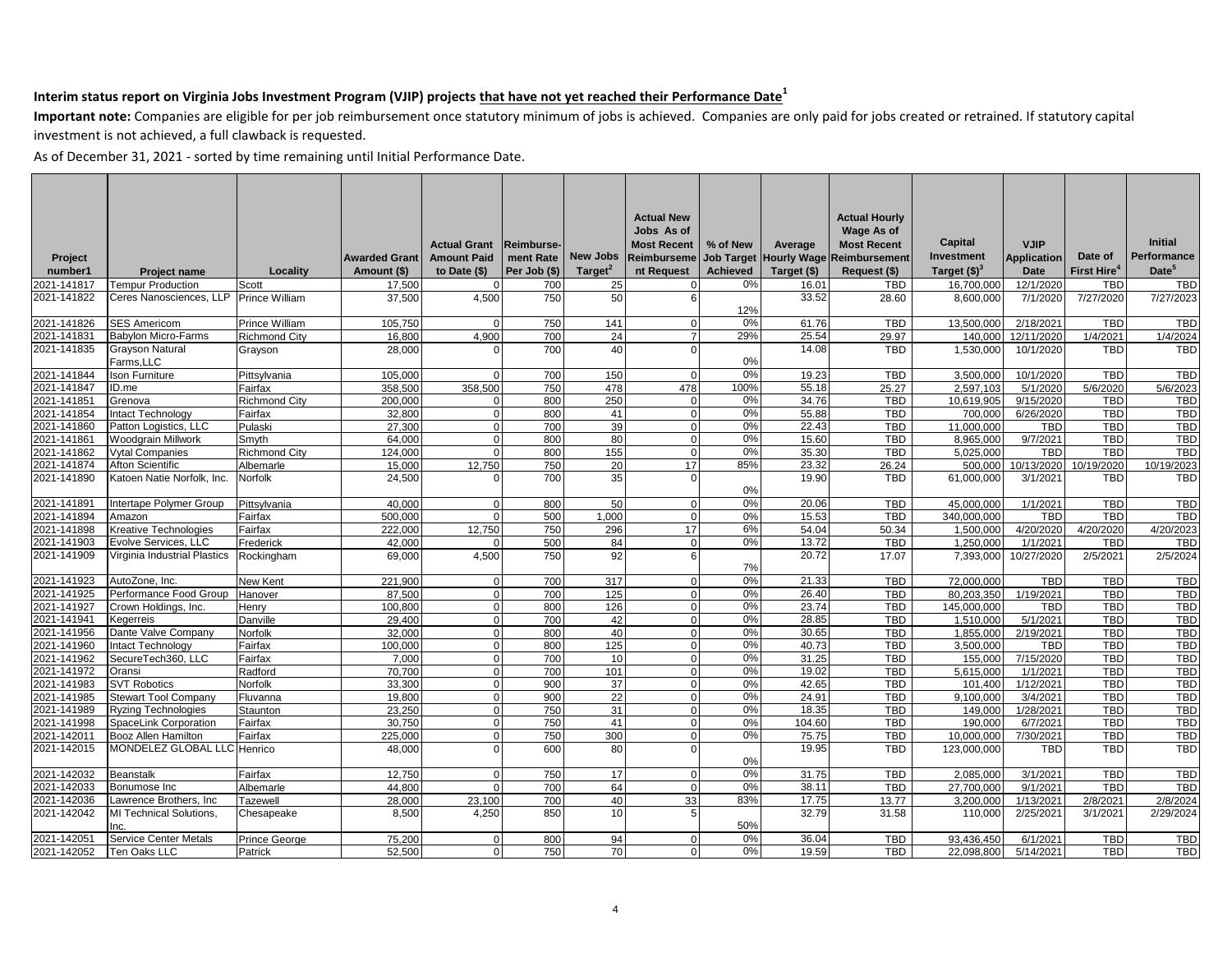**Important note:** Companies are eligible for per job reimbursement once statutory minimum of jobs is achieved. Companies are only paid for jobs created or retrained. If statutory capital investment is not achieved, a full clawback is requested.

|             |                                        |                       |                      |                     |                  |                 | <b>Actual New</b>  |                 |                        | <b>Actual Hourly</b> |                 |                    |                         |                    |
|-------------|----------------------------------------|-----------------------|----------------------|---------------------|------------------|-----------------|--------------------|-----------------|------------------------|----------------------|-----------------|--------------------|-------------------------|--------------------|
|             |                                        |                       |                      |                     |                  |                 | Jobs As of         |                 |                        | Wage As of           |                 |                    |                         |                    |
|             |                                        |                       |                      | <b>Actual Grant</b> | <b>Reimburse</b> |                 | <b>Most Recent</b> | % of New        | Average                | <b>Most Recent</b>   | Capital         | <b>VJIP</b>        |                         | <b>Initial</b>     |
| Project     |                                        |                       | <b>Awarded Grant</b> | <b>Amount Paid</b>  | ment Rate        | <b>New Jobs</b> | <b>Reimburseme</b> |                 | Job Target Hourly Wage | Reimbursement        | Investment      | <b>Application</b> | Date of                 | <b>Performance</b> |
| number1     | <b>Project name</b>                    | Locality              | Amount (\$)          | to Date (\$)        | Per Job (\$)     | Target $2$      | nt Request         | <b>Achieved</b> | Target (\$)            | Request (\$)         | Target $(\$)^3$ | <b>Date</b>        | First Hire <sup>4</sup> | Date <sup>5</sup>  |
| 2021-141817 | <b>Tempur Production</b>               | Scott                 | 17,500               | $\Omega$            | 700              | 25              | $\Omega$           | 0%              | 16.01                  | <b>TBD</b>           | 16,700,000      | 12/1/2020          | <b>TBD</b>              | <b>TBD</b>         |
| 2021-141822 | Ceres Nanosciences. LLP                | <b>Prince William</b> | 37,500               | 4,500               | 750              | 50              | 6 <sup>1</sup>     |                 | 33.52                  | 28.60                | 8,600,000       | 7/1/2020           | 7/27/2020               | 7/27/2023          |
|             |                                        |                       |                      |                     |                  |                 |                    | 12%             |                        |                      |                 |                    |                         |                    |
| 2021-141826 | <b>SES Americom</b>                    | Prince William        | 105,750              |                     | 750              | 141             | $\Omega$           | 0%              | 61.76                  | <b>TBD</b>           | 13,500,000      | 2/18/2021          | <b>TBD</b>              | <b>TBD</b>         |
| 2021-141831 | <b>Babylon Micro-Farms</b>             | <b>Richmond City</b>  | 16,800               | 4,900               | 700              | 24              | $\overline{7}$     | 29%             | 25.54                  | 29.97                | 140,000         | 12/11/2020         | 1/4/2021                | 1/4/2024           |
| 2021-141835 | <b>Grayson Natural</b>                 | Grayson               | 28,000               |                     | 700              | 40              | $\Omega$           |                 | 14.08                  | <b>TBD</b>           | 1,530,000       | 10/1/2020          | <b>TBD</b>              | <b>TBD</b>         |
|             | Farms, LLC                             |                       |                      |                     |                  |                 |                    | 0%              |                        |                      |                 |                    |                         |                    |
| 2021-141844 | Ison Furniture                         | Pittsvlvania          | 105.000              |                     | 700              | 150             | $\Omega$           | 0%              | 19.23                  | <b>TBD</b>           | 3.500.000       | 10/1/2020          | <b>TBD</b>              | <b>TBD</b>         |
| 2021-141847 | ID.me                                  | Fairfax               | 358.500              | 358.500             | 750              | 478             | 478                | 100%            | 55.18                  | 25.27                | 2.597.103       | 5/1/2020           | 5/6/2020                | 5/6/2023           |
| 2021-141851 | Grenova                                | <b>Richmond City</b>  | 200.000              |                     | 800              | 250             | $\Omega$           | 0%              | 34.76                  | <b>TBD</b>           | 10,619,905      | 9/15/2020          | <b>TBD</b>              | <b>TBD</b>         |
| 2021-141854 | Intact Technology                      | Fairfax               | 32.800               | $\Omega$            | 800              | 41              | $\Omega$           | 0%              | 55.88                  | <b>TBD</b>           | 700,000         | 6/26/2020          | <b>TBD</b>              | <b>TBD</b>         |
| 2021-141860 | Patton Logistics, LLC                  | Pulaski               | 27,300               | $\Omega$            | 700              | 39              | $\Omega$           | 0%              | 22.43                  | TBD                  | 11,000,000      | <b>TBD</b>         | <b>TBD</b>              | TBD                |
| 2021-141861 | <b>Woodgrain Millwork</b>              | Smyth                 | 64.000               | $\Omega$            | 800              | 80              | $\Omega$           | 0%              | 15.60                  | <b>TBD</b>           | 8.965.000       | 9/7/2021           | <b>TBD</b>              | <b>TBD</b>         |
| 2021-141862 | <b>Vytal Companies</b>                 | <b>Richmond City</b>  | 124,000              | $\Omega$            | 800              | 155             | $\Omega$           | 0%              | 35.30                  | TBD                  | 5,025,000       | <b>TBD</b>         | TBD                     | <b>TBD</b>         |
| 2021-141874 | <b>Afton Scientific</b>                | Albemarle             | 15,000               | 12.750              | 750              | 20              | 17                 | 85%             | 23.32                  | 26.24                | 500.000         | 10/13/2020         | 10/19/2020              | 10/19/2023         |
| 2021-141890 | Katoen Natie Norfolk, Inc.             | Norfolk               | 24,500               |                     | 700              | 35              | $\Omega$           | 0%              | 19.90                  | <b>TBD</b>           | 61,000,000      | 3/1/2021           | <b>TBD</b>              | <b>TBD</b>         |
| 2021-141891 | Intertape Polymer Group                | Pittsvlvania          | 40,000               | $\Omega$            | 800              | 50              | $\Omega$           | 0%              | 20.06                  | <b>TBD</b>           | 45.000.000      | 1/1/2021           | <b>TBD</b>              | <b>TBD</b>         |
| 2021-141894 | Amazon                                 | Fairfax               | 500.000              | $\Omega$            | 500              | 1.000           | $\Omega$           | 0%              | 15.53                  | <b>TBD</b>           | 340.000.000     | <b>TBD</b>         | <b>TBD</b>              | TBD                |
| 2021-141898 | <b>Kreative Technologies</b>           | Fairfax               | 222,000              | 12.750              | 750              | 296             | 17                 | 6%              | 54.04                  | 50.34                | 1,500,000       | 4/20/2020          | 4/20/2020               | 4/20/2023          |
| 2021-141903 | Evolve Services, LLC                   | Frederick             | 42,000               |                     | 500              | 84              | $\Omega$           | 0%              | 13.72                  | <b>TBD</b>           | 1,250,000       | 1/1/2021           | <b>TBD</b>              | TBD                |
| 2021-141909 | Virginia Industrial Plastics           | Rockingham            | 69,000               | 4,500               | 750              | 92              | 6                  | 7%              | 20.72                  | 17.07                | 7,393,000       | 10/27/2020         | 2/5/2021                | 2/5/2024           |
| 2021-141923 | AutoZone, Inc.                         | New Kent              | 221.900              | $\Omega$            | 700              | 317             | $\Omega$           | 0%              | 21.33                  | <b>TBD</b>           | 72,000,000      | <b>TBD</b>         | <b>TBD</b>              | <b>TBD</b>         |
| 2021-141925 | Performance Food Group                 | Hanover               | 87.500               | $\Omega$            | 700              | 125             | $\Omega$           | 0%              | 26.40                  | <b>TBD</b>           | 80,203,350      | 1/19/2021          | <b>TBD</b>              | TBD                |
| 2021-141927 | Crown Holdings, Inc.                   | Henry                 | 100.800              | U                   | 800              | 126             | $\Omega$           | 0%              | 23.74                  | <b>TBD</b>           | 145,000,000     | <b>TBD</b>         | TBD                     | <b>TBD</b>         |
| 2021-141941 | Kegerreis                              | Danville              | 29,400               | <sup>o</sup>        | 700              | 42              | $\Omega$           | 0%              | 28.85                  | <b>TBD</b>           | 1,510,000       | 5/1/2021           | TBD                     | TBD                |
| 2021-141956 | Dante Valve Company                    | Norfolk               | 32.000               | $\Omega$            | 800              | 40              | $\Omega$           | 0%              | 30.65                  | <b>TBD</b>           | 1.855.000       | 2/19/2021          | <b>TBD</b>              | TBD                |
| 2021-141960 | Intact Technology                      | Fairfax               | 100.000              | $\Omega$            | 800              | 125             | $\Omega$           | 0%              | 40.73                  | <b>TBD</b>           | 3,500,000       | <b>TBD</b>         | <b>TBD</b>              | <b>TBD</b>         |
| 2021-141962 | SecureTech360, LLC                     | Fairfax               | 7.000                | $\Omega$            | 700              | 10              | $\Omega$           | 0%              | 31.25                  | <b>TBD</b>           | 155,000         | 7/15/2020          | <b>TBD</b>              | TBD                |
| 2021-141972 | Oransi                                 | Radford               | 70.700               | $\Omega$            | 700              | 101             | $\Omega$           | 0%              | 19.02                  | <b>TBD</b>           | 5.615.000       | 1/1/2021           | <b>TBD</b>              | <b>TBD</b>         |
| 2021-141983 | <b>SVT Robotics</b>                    | Norfolk               | 33,300               | $\Omega$            | 900              | 37              | $\Omega$           | 0%              | 42.65                  | <b>TBD</b>           | 101.400         | 1/12/2021          | <b>TBD</b>              | <b>TBD</b>         |
| 2021-141985 | <b>Stewart Tool Company</b>            | Fluvanna              | 19,800               | $\Omega$            | 900              | 22              | $\Omega$           | 0%              | 24.91                  | <b>TBD</b>           | 9.100.000       | 3/4/2021           | <b>TBD</b>              | <b>TBD</b>         |
| 2021-141989 | <b>Ryzing Technologies</b>             | Staunton              | 23,250               | $\Omega$            | 750              | 31              | $\Omega$           | 0%              | 18.35                  | <b>TBD</b>           | 149,000         | 1/28/2021          | <b>TBD</b>              | TBD                |
| 2021-141998 | SpaceLink Corporation                  | Fairfax               | 30.750               | $\Omega$            | 750              | 41              | $\Omega$           | 0%              | 104.60                 | <b>TBD</b>           | 190.000         | 6/7/2021           | <b>TBD</b>              | <b>TBD</b>         |
| 2021-142011 | <b>Booz Allen Hamilton</b>             | Fairfax               | 225,000              | $\Omega$            | 750              | 300             | $\Omega$           | 0%              | 75.75                  | <b>TBD</b>           | 10,000,000      | 7/30/2021          | <b>TBD</b>              | TBD                |
| 2021-142015 | MONDELEZ GLOBAL LLC Henrico            |                       | 48.000               | U                   | 600              | 80              | $\Omega$           | 0%              | 19.95                  | <b>TBD</b>           | 123,000,000     | <b>TBD</b>         | TBD                     | <b>TBD</b>         |
| 2021-142032 | Beanstalk                              | Fairfax               | 12,750               |                     | 750              | 17              | $\Omega$           | 0%              | 31.75                  | <b>TBD</b>           | 2,085,000       | 3/1/2021           | TBD                     | <b>TBD</b>         |
| 2021-142033 | Bonumose Inc                           | Albemarle             | 44.800               | $\Omega$            | 700              | 64              | $\Omega$           | 0%              | 38.11                  | <b>TBD</b>           | 27.700.000      | 9/1/2021           | <b>TBD</b>              | <b>TBD</b>         |
| 2021-142036 | Lawrence Brothers, Inc                 | Tazewell              | 28,000               | 23,100              | 700              | 40              | 33                 | 83%             | 17.75                  | 13.77                | 3,200,000       | 1/13/2021          | 2/8/2021                | 2/8/2024           |
| 2021-142042 | <b>MI Technical Solutions.</b><br>Inc. | Chesapeake            | 8,500                | 4.250               | 850              | 10              | 5                  | 50%             | 32.79                  | 31.58                | 110,000         | 2/25/2021          | 3/1/2021                | 2/29/2024          |
| 2021-142051 | <b>Service Center Metals</b>           | Prince George         | 75.200               |                     | 800              | 94              | n                  | 0%              | 36.04                  | <b>TBD</b>           | 93.436.450      | 6/1/2021           | <b>TBD</b>              | <b>TBD</b>         |
| 2021-142052 | Ten Oaks LLC                           | Patrick               | 52,500               | $\Omega$            | 750              | 70              | $\Omega$           | 0%              | 19.59                  | TBD                  | 22,098,800      | 5/14/2021          | <b>TBD</b>              | TBD                |